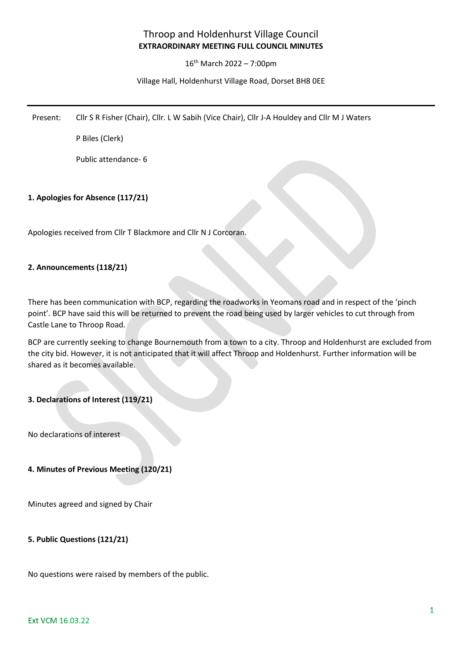# Throop and Holdenhurst Village Council **EXTRAORDINARY MEETING FULL COUNCIL MINUTES**

### 16th March 2022 – 7:00pm

### Village Hall, Holdenhurst Village Road, Dorset BH8 0EE

Present: Cllr S R Fisher (Chair), Cllr. L W Sabih (Vice Chair), Cllr J-A Houldey and Cllr M J Waters

P Biles (Clerk)

Public attendance- 6

### **1. Apologies for Absence (117/21)**

Apologies received from Cllr T Blackmore and Cllr N J Corcoran.

### **2. Announcements (118/21)**

There has been communication with BCP, regarding the roadworks in Yeomans road and in respect of the 'pinch point'. BCP have said this will be returned to prevent the road being used by larger vehicles to cut through from Castle Lane to Throop Road.

BCP are currently seeking to change Bournemouth from a town to a city. Throop and Holdenhurst are excluded from the city bid. However, it is not anticipated that it will affect Throop and Holdenhurst. Further information will be shared as it becomes available.

### **3. Declarations of Interest (119/21)**

No declarations of interest

### **4. Minutes of Previous Meeting (120/21)**

Minutes agreed and signed by Chair

### **5. Public Questions (121/21)**

No questions were raised by members of the public.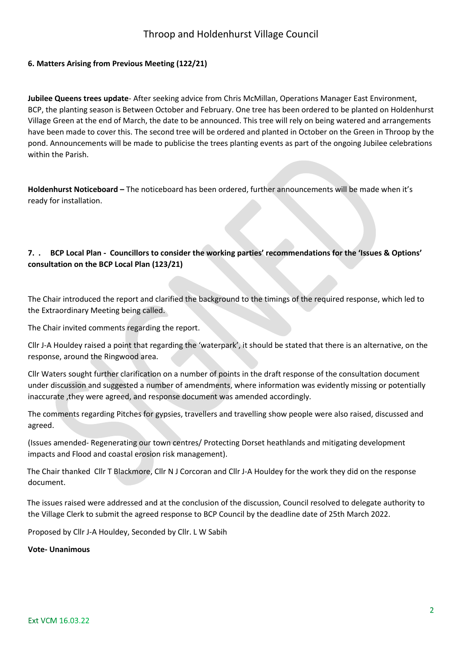### **6. Matters Arising from Previous Meeting (122/21)**

**Jubilee Queens trees update**- After seeking advice from Chris McMillan, Operations Manager East Environment, BCP, the planting season is Between October and February. One tree has been ordered to be planted on Holdenhurst Village Green at the end of March, the date to be announced. This tree will rely on being watered and arrangements have been made to cover this. The second tree will be ordered and planted in October on the Green in Throop by the pond. Announcements will be made to publicise the trees planting events as part of the ongoing Jubilee celebrations within the Parish.

**Holdenhurst Noticeboard –** The noticeboard has been ordered, further announcements will be made when it's ready for installation.

### **7. . BCP Local Plan - Councillors to consider the working parties' recommendations for the 'Issues & Options' consultation on the BCP Local Plan (123/21)**

The Chair introduced the report and clarified the background to the timings of the required response, which led to the Extraordinary Meeting being called.

The Chair invited comments regarding the report.

Cllr J-A Houldey raised a point that regarding the 'waterpark', it should be stated that there is an alternative, on the response, around the Ringwood area.

Cllr Waters sought further clarification on a number of points in the draft response of the consultation document under discussion and suggested a number of amendments, where information was evidently missing or potentially inaccurate ,they were agreed, and response document was amended accordingly.

The comments regarding Pitches for gypsies, travellers and travelling show people were also raised, discussed and agreed.

(Issues amended- Regenerating our town centres/ Protecting Dorset heathlands and mitigating development impacts and Flood and coastal erosion risk management).

 The Chair thanked Cllr T Blackmore, Cllr N J Corcoran and Cllr J-A Houldey for the work they did on the response document.

 The issues raised were addressed and at the conclusion of the discussion, Council resolved to delegate authority to the Village Clerk to submit the agreed response to BCP Council by the deadline date of 25th March 2022.

Proposed by Cllr J-A Houldey, Seconded by Cllr. L W Sabih

**Vote- Unanimous**